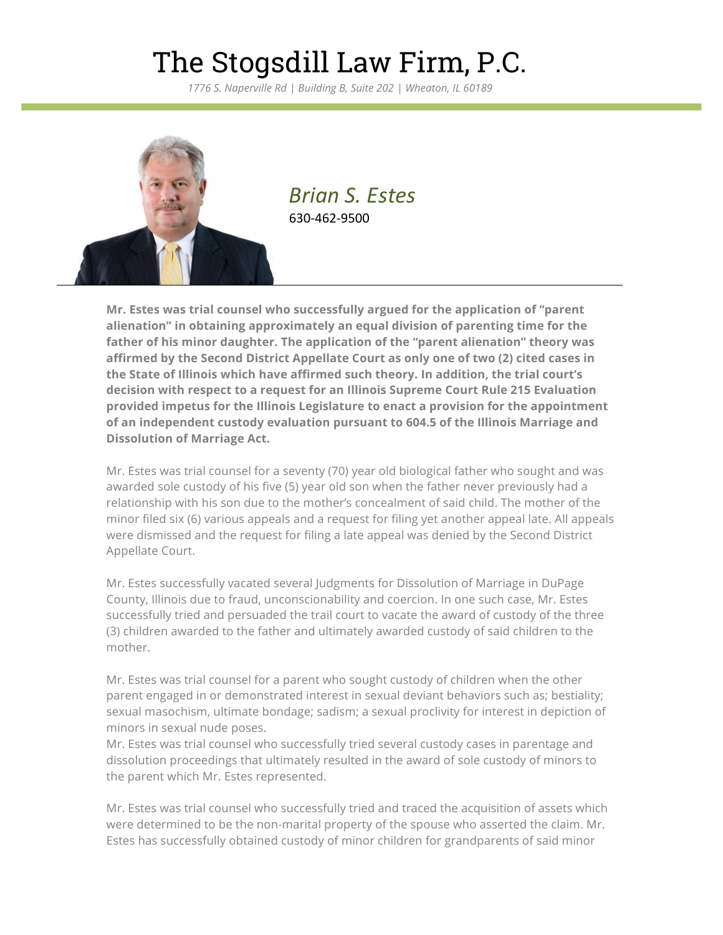## The Stogsdill Law Firm, P.C.

*1776 S. Naperville Rd | Building B, Suite 202 | Wheaton, IL 60189*



*Brian S. Estes* 630-462-9500

**Mr. Estes was trial counsel who successfully argued for the application of "parent alienation" in obtaining approximately an equal division of parenting time for the father of his minor daughter. The application of the "parent alienation" theory was affirmed by the Second District Appellate Court as only one of two (2) cited cases in the State of Illinois which have affirmed such theory. In addition, the trial court's decision with respect to a request for an Illinois Supreme Court Rule 215 Evaluation provided impetus for the Illinois Legislature to enact a provision for the appointment of an independent custody evaluation pursuant to 604.5 of the Illinois Marriage and Dissolution of Marriage Act.**

Mr. Estes was trial counsel for a seventy (70) year old biological father who sought and was awarded sole custody of his five (5) year old son when the father never previously had a relationship with his son due to the mother's concealment of said child. The mother of the minor filed six (6) various appeals and a request for filing yet another appeal late. All appeals were dismissed and the request for filing a late appeal was denied by the Second District Appellate Court.

Mr. Estes successfully vacated several Judgments for Dissolution of Marriage in DuPage County, Illinois due to fraud, unconscionability and coercion. In one such case, Mr. Estes successfully tried and persuaded the trail court to vacate the award of custody of the three (3) children awarded to the father and ultimately awarded custody of said children to the mother.

Mr. Estes was trial counsel for a parent who sought custody of children when the other parent engaged in or demonstrated interest in sexual deviant behaviors such as; bestiality; sexual masochism, ultimate bondage; sadism; a sexual proclivity for interest in depiction of minors in sexual nude poses.

Mr. Estes was trial counsel who successfully tried several custody cases in parentage and dissolution proceedings that ultimately resulted in the award of sole custody of minors to the parent which Mr. Estes represented.

Mr. Estes was trial counsel who successfully tried and traced the acquisition of assets which were determined to be the non-marital property of the spouse who asserted the claim. Mr. Estes has successfully obtained custody of minor children for grandparents of said minor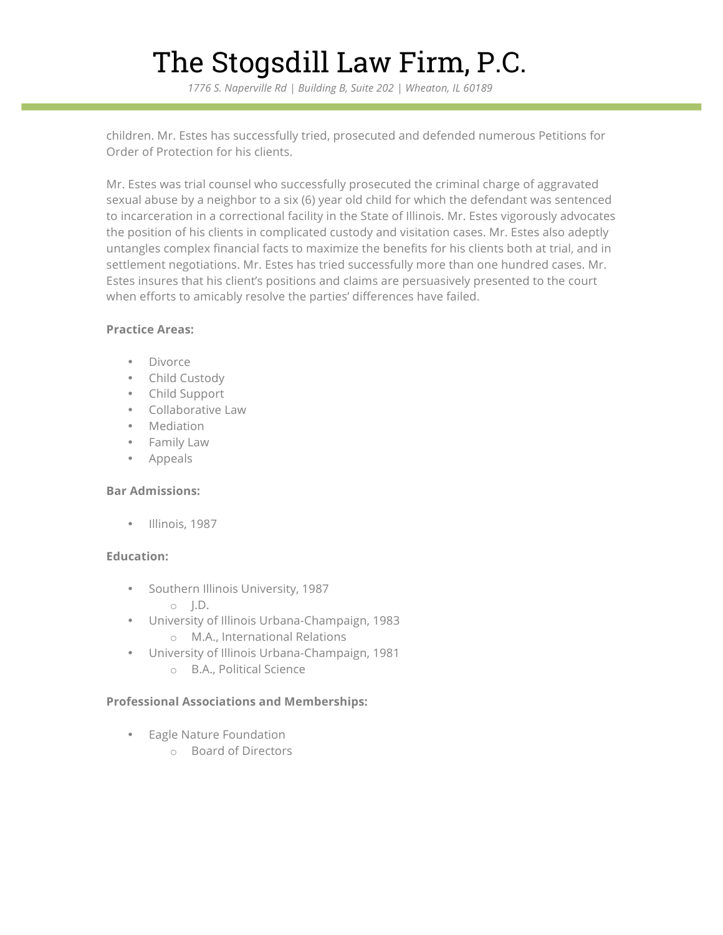# The Stogsdill Law Firm, P.C.

*1776 S. Naperville Rd | Building B, Suite 202 | Wheaton, IL 60189*

children. Mr. Estes has successfully tried, prosecuted and defended numerous Petitions for Order of Protection for his clients.

Mr. Estes was trial counsel who successfully prosecuted the criminal charge of aggravated sexual abuse by a neighbor to a six (6) year old child for which the defendant was sentenced to incarceration in a correctional facility in the State of Illinois. Mr. Estes vigorously advocates the position of his clients in complicated custody and visitation cases. Mr. Estes also adeptly untangles complex financial facts to maximize the benefits for his clients both at trial, and in settlement negotiations. Mr. Estes has tried successfully more than one hundred cases. Mr. Estes insures that his client's positions and claims are persuasively presented to the court when efforts to amicably resolve the parties' differences have failed.

#### **Practice Areas:**

- Divorce
- Child Custody
- Child Support
- Collaborative Law
- Mediation
- Family Law
- Appeals

#### **Bar Admissions:**

• Illinois, 1987

### **Education:**

- Southern Illinois University, 1987
	- $\circ$   $\Box$ .
- University of Illinois Urbana-Champaign, 1983 o M.A., International Relations
- University of Illinois Urbana-Champaign, 1981
	- o B.A., Political Science

### **Professional Associations and Memberships:**

- Eagle Nature Foundation
	- o Board of Directors